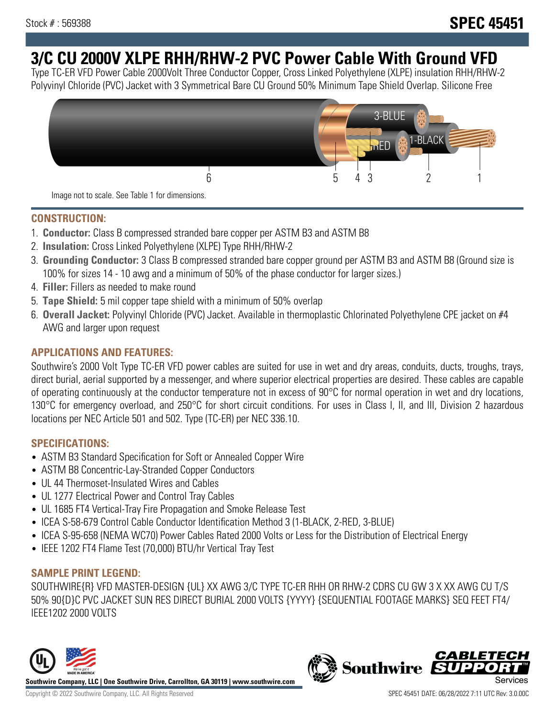# **3/C CU 2000V XLPE RHH/RHW-2 PVC Power Cable With Ground VFD**

Type TC-ER VFD Power Cable 2000Volt Three Conductor Copper, Cross Linked Polyethylene (XLPE) insulation RHH/RHW-2 Polyvinyl Chloride (PVC) Jacket with 3 Symmetrical Bare CU Ground 50% Minimum Tape Shield Overlap. Silicone Free



Image not to scale. See Table 1 for dimensions.

## **CONSTRUCTION:**

- 1. **Conductor:** Class B compressed stranded bare copper per ASTM B3 and ASTM B8
- 2. **Insulation:** Cross Linked Polyethylene (XLPE) Type RHH/RHW-2
- 3. **Grounding Conductor:** 3 Class B compressed stranded bare copper ground per ASTM B3 and ASTM B8 (Ground size is 100% for sizes 14 - 10 awg and a minimum of 50% of the phase conductor for larger sizes.)
- 4. **Filler:** Fillers as needed to make round
- 5. **Tape Shield:** 5 mil copper tape shield with a minimum of 50% overlap
- 6. **Overall Jacket:** Polyvinyl Chloride (PVC) Jacket. Available in thermoplastic Chlorinated Polyethylene CPE jacket on #4 AWG and larger upon request

## **APPLICATIONS AND FEATURES:**

Southwire's 2000 Volt Type TC-ER VFD power cables are suited for use in wet and dry areas, conduits, ducts, troughs, trays, direct burial, aerial supported by a messenger, and where superior electrical properties are desired. These cables are capable of operating continuously at the conductor temperature not in excess of 90°C for normal operation in wet and dry locations, 130°C for emergency overload, and 250°C for short circuit conditions. For uses in Class I, II, and III, Division 2 hazardous locations per NEC Article 501 and 502. Type (TC-ER) per NEC 336.10.

## **SPECIFICATIONS:**

- ASTM B3 Standard Specification for Soft or Annealed Copper Wire
- ASTM B8 Concentric-Lay-Stranded Copper Conductors
- UL 44 Thermoset-Insulated Wires and Cables
- UL 1277 Electrical Power and Control Tray Cables
- UL 1685 FT4 Vertical-Tray Fire Propagation and Smoke Release Test
- ICEA S-58-679 Control Cable Conductor Identification Method 3 (1-BLACK, 2-RED, 3-BLUE)
- ICEA S-95-658 (NEMA WC70) Power Cables Rated 2000 Volts or Less for the Distribution of Electrical Energy
- IEEE 1202 FT4 Flame Test (70,000) BTU/hr Vertical Tray Test

## **SAMPLE PRINT LEGEND:**

SOUTHWIRE{R} VFD MASTER-DESIGN {UL} XX AWG 3/C TYPE TC-ER RHH OR RHW-2 CDRS CU GW 3 X XX AWG CU T/S 50% 90{D}C PVC JACKET SUN RES DIRECT BURIAL 2000 VOLTS {YYYY} {SEQUENTIAL FOOTAGE MARKS} SEQ FEET FT4/ IEEE1202 2000 VOLTS